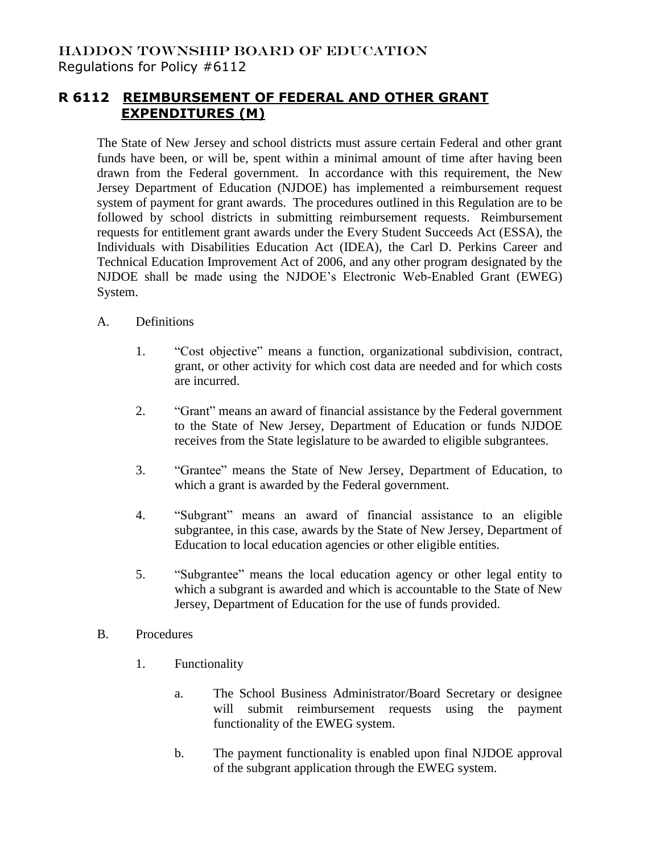## **R 6112 REIMBURSEMENT OF FEDERAL AND OTHER GRANT EXPENDITURES (M)**

The State of New Jersey and school districts must assure certain Federal and other grant funds have been, or will be, spent within a minimal amount of time after having been drawn from the Federal government. In accordance with this requirement, the New Jersey Department of Education (NJDOE) has implemented a reimbursement request system of payment for grant awards. The procedures outlined in this Regulation are to be followed by school districts in submitting reimbursement requests. Reimbursement requests for entitlement grant awards under the Every Student Succeeds Act (ESSA), the Individuals with Disabilities Education Act (IDEA), the Carl D. Perkins Career and Technical Education Improvement Act of 2006, and any other program designated by the NJDOE shall be made using the NJDOE's Electronic Web-Enabled Grant (EWEG) System.

## A. Definitions

- 1. "Cost objective" means a function, organizational subdivision, contract, grant, or other activity for which cost data are needed and for which costs are incurred.
- 2. "Grant" means an award of financial assistance by the Federal government to the State of New Jersey, Department of Education or funds NJDOE receives from the State legislature to be awarded to eligible subgrantees.
- 3. "Grantee" means the State of New Jersey, Department of Education, to which a grant is awarded by the Federal government.
- 4. "Subgrant" means an award of financial assistance to an eligible subgrantee, in this case, awards by the State of New Jersey, Department of Education to local education agencies or other eligible entities.
- 5. "Subgrantee" means the local education agency or other legal entity to which a subgrant is awarded and which is accountable to the State of New Jersey, Department of Education for the use of funds provided.
- B. Procedures
	- 1. Functionality
		- a. The School Business Administrator/Board Secretary or designee will submit reimbursement requests using the payment functionality of the EWEG system.
		- b. The payment functionality is enabled upon final NJDOE approval of the subgrant application through the EWEG system.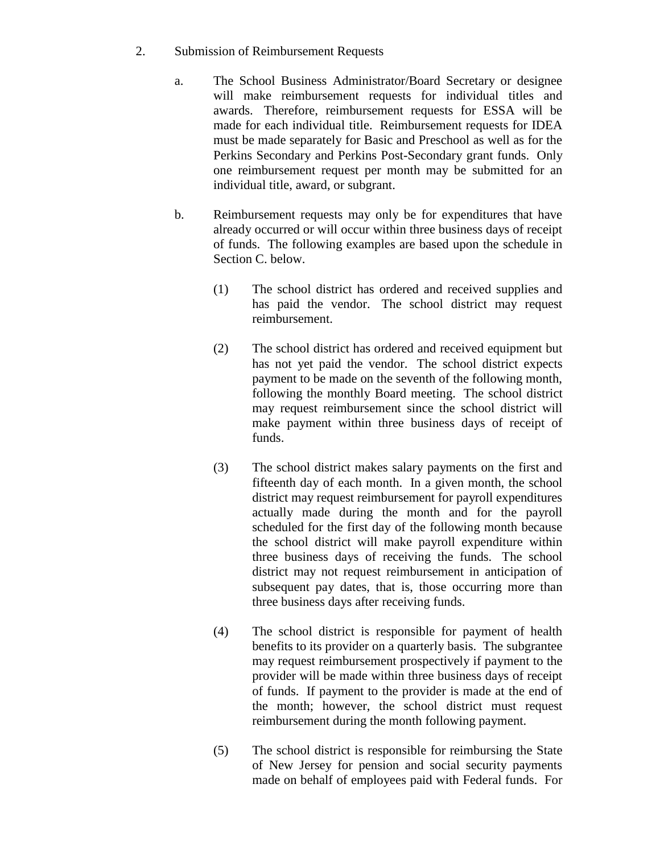- 2. Submission of Reimbursement Requests
	- a. The School Business Administrator/Board Secretary or designee will make reimbursement requests for individual titles and awards. Therefore, reimbursement requests for ESSA will be made for each individual title. Reimbursement requests for IDEA must be made separately for Basic and Preschool as well as for the Perkins Secondary and Perkins Post-Secondary grant funds. Only one reimbursement request per month may be submitted for an individual title, award, or subgrant.
	- b. Reimbursement requests may only be for expenditures that have already occurred or will occur within three business days of receipt of funds. The following examples are based upon the schedule in Section C. below.
		- (1) The school district has ordered and received supplies and has paid the vendor. The school district may request reimbursement.
		- (2) The school district has ordered and received equipment but has not yet paid the vendor. The school district expects payment to be made on the seventh of the following month, following the monthly Board meeting. The school district may request reimbursement since the school district will make payment within three business days of receipt of funds.
		- (3) The school district makes salary payments on the first and fifteenth day of each month. In a given month, the school district may request reimbursement for payroll expenditures actually made during the month and for the payroll scheduled for the first day of the following month because the school district will make payroll expenditure within three business days of receiving the funds. The school district may not request reimbursement in anticipation of subsequent pay dates, that is, those occurring more than three business days after receiving funds.
		- (4) The school district is responsible for payment of health benefits to its provider on a quarterly basis. The subgrantee may request reimbursement prospectively if payment to the provider will be made within three business days of receipt of funds. If payment to the provider is made at the end of the month; however, the school district must request reimbursement during the month following payment.
		- (5) The school district is responsible for reimbursing the State of New Jersey for pension and social security payments made on behalf of employees paid with Federal funds. For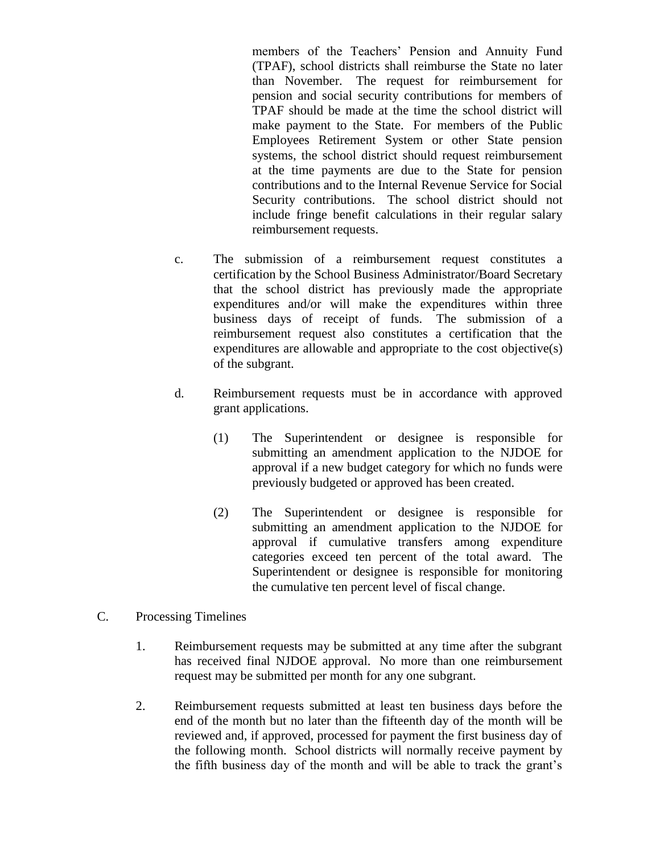members of the Teachers' Pension and Annuity Fund (TPAF), school districts shall reimburse the State no later than November. The request for reimbursement for pension and social security contributions for members of TPAF should be made at the time the school district will make payment to the State. For members of the Public Employees Retirement System or other State pension systems, the school district should request reimbursement at the time payments are due to the State for pension contributions and to the Internal Revenue Service for Social Security contributions. The school district should not include fringe benefit calculations in their regular salary reimbursement requests.

- c. The submission of a reimbursement request constitutes a certification by the School Business Administrator/Board Secretary that the school district has previously made the appropriate expenditures and/or will make the expenditures within three business days of receipt of funds. The submission of a reimbursement request also constitutes a certification that the expenditures are allowable and appropriate to the cost objective(s) of the subgrant.
- d. Reimbursement requests must be in accordance with approved grant applications.
	- (1) The Superintendent or designee is responsible for submitting an amendment application to the NJDOE for approval if a new budget category for which no funds were previously budgeted or approved has been created.
	- (2) The Superintendent or designee is responsible for submitting an amendment application to the NJDOE for approval if cumulative transfers among expenditure categories exceed ten percent of the total award. The Superintendent or designee is responsible for monitoring the cumulative ten percent level of fiscal change.

## C. Processing Timelines

- 1. Reimbursement requests may be submitted at any time after the subgrant has received final NJDOE approval. No more than one reimbursement request may be submitted per month for any one subgrant.
- 2. Reimbursement requests submitted at least ten business days before the end of the month but no later than the fifteenth day of the month will be reviewed and, if approved, processed for payment the first business day of the following month. School districts will normally receive payment by the fifth business day of the month and will be able to track the grant's